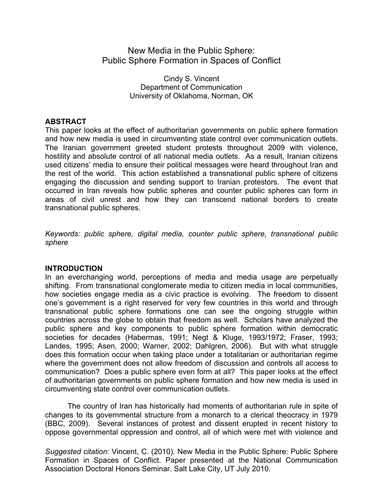# New Media in the Public Sphere: Public Sphere Formation in Spaces of Conflict

Cindy S. Vincent Department of Communication University of Oklahoma, Norman, OK

# **ABSTRACT**

This paper looks at the effect of authoritarian governments on public sphere formation and how new media is used in circumventing state control over communication outlets. The Iranian government greeted student protests throughout 2009 with violence, hostility and absolute control of all national media outlets. As a result, Iranian citizens used citizens' media to ensure their political messages were heard throughout Iran and the rest of the world. This action established a transnational public sphere of citizens engaging the discussion and sending support to Iranian protestors. The event that occurred in Iran reveals how public spheres and counter public spheres can form in areas of civil unrest and how they can transcend national borders to create transnational public spheres.

*Keywords: public sphere, digital media, counter public sphere, transnational public sphere*

#### **INTRODUCTION**

In an everchanging world, perceptions of media and media usage are perpetually shifting. From transnational conglomerate media to citizen media in local communities, how societies engage media as a civic practice is evolving. The freedom to dissent one's government is a right reserved for very few countries in this world and through transnational public sphere formations one can see the ongoing struggle within countries across the globe to obtain that freedom as well. Scholars have analyzed the public sphere and key components to public sphere formation within democratic societies for decades (Habermas, 1991; Negt & Kluge, 1993/1972; Fraser, 1993; Landes, 1995; Asen, 2000; Warner, 2002; Dahlgren, 2006). But with what struggle does this formation occur when taking place under a totalitarian or authoritarian regime where the government does not allow freedom of discussion and controls all access to communication? Does a public sphere even form at all? This paper looks at the effect of authoritarian governments on public sphere formation and how new media is used in circumventing state control over communication outlets.

The country of Iran has historically had moments of authoritarian rule in spite of changes to its governmental structure from a monarch to a clerical theocracy in 1979 (BBC, 2009). Several instances of protest and dissent erupted in recent history to oppose governmental oppression and control, all of which were met with violence and

*Suggested citation:* Vincent, C. (2010). New Media in the Public Sphere: Public Sphere Formation in Spaces of Conflict. Paper presented at the National Communication Association Doctoral Honors Seminar. Salt Lake City, UT July 2010.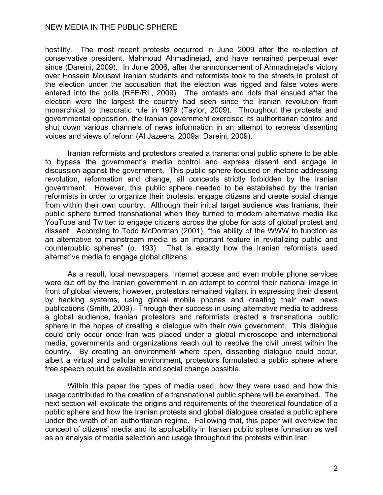hostility. The most recent protests occurred in June 2009 after the re-election of conservative president, Mahmoud Ahmadinejad, and have remained perpetual ever since (Dareini, 2009). In June 2006, after the announcement of Ahmadinejad's victory over Hossein Mousavi Iranian students and reformists took to the streets in protest of the election under the accusation that the election was rigged and false votes were entered into the polls (RFE/RL, 2009). The protests and riots that ensued after the election were the largest the country had seen since the Iranian revolution from monarchical to theocratic rule in 1979 (Taylor, 2009). Throughout the protests and governmental opposition, the Iranian government exercised its authoritarian control and shut down various channels of news information in an attempt to repress dissenting voices and views of reform (Al Jazeera, 2009a; Dareini, 2009).

Iranian reformists and protestors created a transnational public sphere to be able to bypass the government's media control and express dissent and engage in discussion against the government. This public sphere focused on rhetoric addressing revolution, reformation and change, all concepts strictly forbidden by the Iranian government. However, this public sphere needed to be established by the Iranian reformists in order to organize their protests, engage citizens and create social change from within their own country. Although their initial target audience was Iranians, their public sphere turned transnational when they turned to modern alternative media like YouTube and Twitter to engage citizens across the globe for acts of global protest and dissent. According to Todd McDorman (2001), "the ability of the WWW to function as an alternative to mainstream media is an important feature in revitalizing public and counterpublic spheres" (p. 193). That is exactly how the Iranian reformists used alternative media to engage global citizens.

As a result, local newspapers, Internet access and even mobile phone services were cut off by the Iranian government in an attempt to control their national image in front of global viewers; however, protestors remained vigilant in expressing their dissent by hacking systems, using global mobile phones and creating their own news publications (Smith, 2009). Through their success in using alternative media to address a global audience, Iranian protestors and reformists created a transnational public sphere in the hopes of creating a dialogue with their own government. This dialogue could only occur once Iran was placed under a global microscope and international media, governments and organizations reach out to resolve the civil unrest within the country. By creating an environment where open, dissenting dialogue could occur, albeit a virtual and cellular environment, protestors formulated a public sphere where free speech could be available and social change possible.

Within this paper the types of media used, how they were used and how this usage contributed to the creation of a transnational public sphere will be examined. The next section will explicate the origins and requirements of the theoretical foundation of a public sphere and how the Iranian protests and global dialogues created a public sphere under the wrath of an authoritarian regime. Following that, this paper will overview the concept of citizens' media and its applicability in Iranian public sphere formation as well as an analysis of media selection and usage throughout the protests within Iran.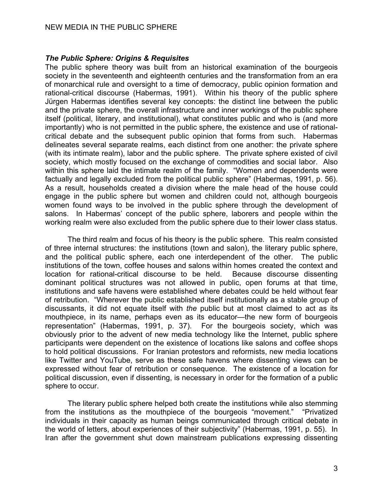#### *The Public Sphere: Origins & Requisites*

The public sphere theory was built from an historical examination of the bourgeois society in the seventeenth and eighteenth centuries and the transformation from an era of monarchical rule and oversight to a time of democracy, public opinion formation and rational-critical discourse (Habermas, 1991). Within his theory of the public sphere Jürgen Habermas identifies several key concepts: the distinct line between the public and the private sphere, the overall infrastructure and inner workings of the public sphere itself (political, literary, and institutional), what constitutes public and who is (and more importantly) who is not permitted in the public sphere, the existence and use of rationalcritical debate and the subsequent public opinion that forms from such. Habermas delineates several separate realms, each distinct from one another: the private sphere (with its intimate realm), labor and the public sphere. The private sphere existed of civil society, which mostly focused on the exchange of commodities and social labor. Also within this sphere laid the intimate realm of the family. "Women and dependents were factually and legally excluded from the political public sphere" (Habermas, 1991, p. 56). As a result, households created a division where the male head of the house could engage in the public sphere but women and children could not, although bourgeois women found ways to be involved in the public sphere through the development of salons. In Habermas' concept of the public sphere, laborers and people within the working realm were also excluded from the public sphere due to their lower class status.

The third realm and focus of his theory is the public sphere. This realm consisted of three internal structures: the institutions (town and salon), the literary public sphere, and the political public sphere, each one interdependent of the other. The public institutions of the town, coffee houses and salons within homes created the context and location for rational-critical discourse to be held. Because discourse dissenting dominant political structures was not allowed in public, open forums at that time, institutions and safe havens were established where debates could be held without fear of retribution. "Wherever the public established itself institutionally as a stable group of discussants, it did not equate itself with *the* public but at most claimed to act as its mouthpiece, in its name, perhaps even as its educator—the new form of bourgeois representation" (Habermas, 1991, p. 37). For the bourgeois society, which was obviously prior to the advent of new media technology like the Internet, public sphere participants were dependent on the existence of locations like salons and coffee shops to hold political discussions. For Iranian protestors and reformists, new media locations like Twitter and YouTube, serve as these safe havens where dissenting views can be expressed without fear of retribution or consequence. The existence of a location for political discussion, even if dissenting, is necessary in order for the formation of a public sphere to occur.

The literary public sphere helped both create the institutions while also stemming from the institutions as the mouthpiece of the bourgeois "movement." "Privatized individuals in their capacity as human beings communicated through critical debate in the world of letters, about experiences of their subjectivity" (Habermas, 1991, p. 55). In Iran after the government shut down mainstream publications expressing dissenting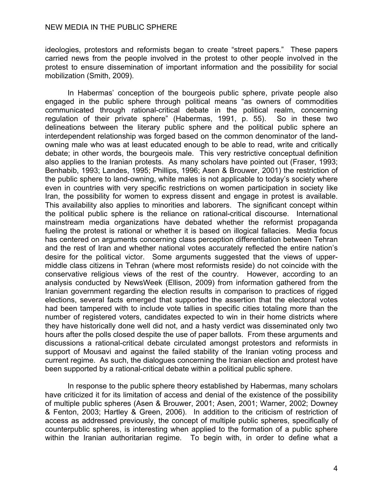ideologies, protestors and reformists began to create "street papers." These papers carried news from the people involved in the protest to other people involved in the protest to ensure dissemination of important information and the possibility for social mobilization (Smith, 2009).

In Habermas' conception of the bourgeois public sphere, private people also engaged in the public sphere through political means "as owners of commodities communicated through rational-critical debate in the political realm, concerning regulation of their private sphere" (Habermas, 1991, p. 55). So in these two delineations between the literary public sphere and the political public sphere an interdependent relationship was forged based on the common denominator of the landowning male who was at least educated enough to be able to read, write and critically debate; in other words, the bourgeois male. This very restrictive conceptual definition also applies to the Iranian protests. As many scholars have pointed out (Fraser, 1993; Benhabib, 1993; Landes, 1995; Phillips, 1996; Asen & Brouwer, 2001) the restriction of the public sphere to land-owning, white males is not applicable to today's society where even in countries with very specific restrictions on women participation in society like Iran, the possibility for women to express dissent and engage in protest is available. This availability also applies to minorities and laborers. The significant concept within the political public sphere is the reliance on rational-critical discourse. International mainstream media organizations have debated whether the reformist propaganda fueling the protest is rational or whether it is based on illogical fallacies. Media focus has centered on arguments concerning class perception differentiation between Tehran and the rest of Iran and whether national votes accurately reflected the entire nation's desire for the political victor. Some arguments suggested that the views of uppermiddle class citizens in Tehran (where most reformists reside) do not coincide with the conservative religious views of the rest of the country. However, according to an analysis conducted by NewsWeek (Ellison, 2009) from information gathered from the Iranian government regarding the election results in comparison to practices of rigged elections, several facts emerged that supported the assertion that the electoral votes had been tampered with to include vote tallies in specific cities totaling more than the number of registered voters, candidates expected to win in their home districts where they have historically done well did not, and a hasty verdict was disseminated only two hours after the polls closed despite the use of paper ballots. From these arguments and discussions a rational-critical debate circulated amongst protestors and reformists in support of Mousavi and against the failed stability of the Iranian voting process and current regime. As such, the dialogues concerning the Iranian election and protest have been supported by a rational-critical debate within a political public sphere.

In response to the public sphere theory established by Habermas, many scholars have criticized it for its limitation of access and denial of the existence of the possibility of multiple public spheres (Asen & Brouwer, 2001; Asen, 2001; Warner, 2002; Downey & Fenton, 2003; Hartley & Green, 2006). In addition to the criticism of restriction of access as addressed previously, the concept of multiple public spheres, specifically of counterpublic spheres, is interesting when applied to the formation of a public sphere within the Iranian authoritarian regime. To begin with, in order to define what a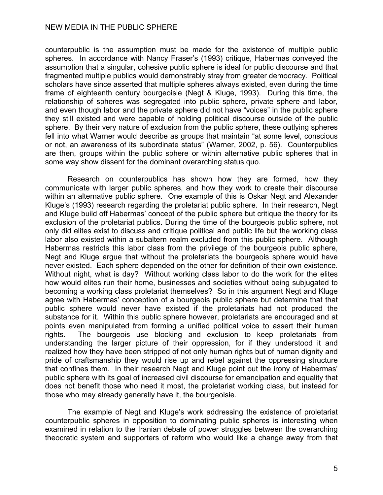counterpublic is the assumption must be made for the existence of multiple public spheres. In accordance with Nancy Fraser's (1993) critique, Habermas conveyed the assumption that a singular, cohesive public sphere is ideal for public discourse and that fragmented multiple publics would demonstrably stray from greater democracy. Political scholars have since asserted that multiple spheres always existed, even during the time frame of eighteenth century bourgeoisie (Negt & Kluge, 1993). During this time, the relationship of spheres was segregated into public sphere, private sphere and labor, and even though labor and the private sphere did not have "voices" in the public sphere they still existed and were capable of holding political discourse outside of the public sphere. By their very nature of exclusion from the public sphere, these outlying spheres fell into what Warner would describe as groups that maintain "at some level, conscious or not, an awareness of its subordinate status" (Warner, 2002, p. 56). Counterpublics are then, groups within the public sphere or within alternative public spheres that in some way show dissent for the dominant overarching status quo.

Research on counterpublics has shown how they are formed, how they communicate with larger public spheres, and how they work to create their discourse within an alternative public sphere. One example of this is Oskar Negt and Alexander Kluge's (1993) research regarding the proletariat public sphere. In their research, Negt and Kluge build off Habermas' concept of the public sphere but critique the theory for its exclusion of the proletariat publics. During the time of the bourgeois public sphere, not only did elites exist to discuss and critique political and public life but the working class labor also existed within a subaltern realm excluded from this public sphere. Although Habermas restricts this labor class from the privilege of the bourgeois public sphere, Negt and Kluge argue that without the proletariats the bourgeois sphere would have never existed. Each sphere depended on the other for definition of their own existence. Without night, what is day? Without working class labor to do the work for the elites how would elites run their home, businesses and societies without being subjugated to becoming a working class proletariat themselves? So in this argument Negt and Kluge agree with Habermas' conception of a bourgeois public sphere but determine that that public sphere would never have existed if the proletariats had not produced the substance for it. Within this public sphere however, proletariats are encouraged and at points even manipulated from forming a unified political voice to assert their human rights. The bourgeois use blocking and exclusion to keep proletariats from understanding the larger picture of their oppression, for if they understood it and realized how they have been stripped of not only human rights but of human dignity and pride of craftsmanship they would rise up and rebel against the oppressing structure that confines them. In their research Negt and Kluge point out the irony of Habermas' public sphere with its goal of increased civil discourse for emancipation and equality that does not benefit those who need it most, the proletariat working class, but instead for those who may already generally have it, the bourgeoisie.

The example of Negt and Kluge's work addressing the existence of proletariat counterpublic spheres in opposition to dominating public spheres is interesting when examined in relation to the Iranian debate of power struggles between the overarching theocratic system and supporters of reform who would like a change away from that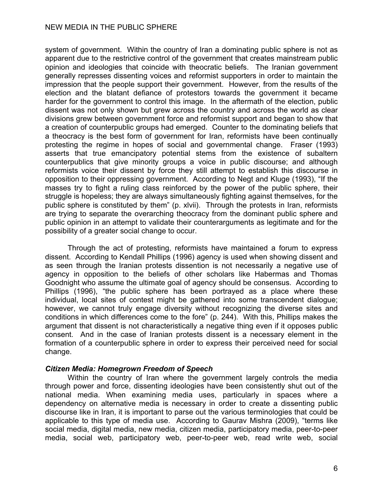system of government. Within the country of Iran a dominating public sphere is not as apparent due to the restrictive control of the government that creates mainstream public opinion and ideologies that coincide with theocratic beliefs. The Iranian government generally represses dissenting voices and reformist supporters in order to maintain the impression that the people support their government. However, from the results of the election and the blatant defiance of protestors towards the government it became harder for the government to control this image. In the aftermath of the election, public dissent was not only shown but grew across the country and across the world as clear divisions grew between government force and reformist support and began to show that a creation of counterpublic groups had emerged. Counter to the dominating beliefs that a theocracy is the best form of government for Iran, reformists have been continually protesting the regime in hopes of social and governmental change. Fraser (1993) asserts that true emancipatory potential stems from the existence of subaltern counterpublics that give minority groups a voice in public discourse; and although reformists voice their dissent by force they still attempt to establish this discourse in opposition to their oppressing government. According to Negt and Kluge (1993), "If the masses try to fight a ruling class reinforced by the power of the public sphere, their struggle is hopeless; they are always simultaneously fighting against themselves, for the public sphere is constituted by them" (p. xlvii). Through the protests in Iran, reformists are trying to separate the overarching theocracy from the dominant public sphere and public opinion in an attempt to validate their counterarguments as legitimate and for the possibility of a greater social change to occur.

Through the act of protesting, reformists have maintained a forum to express dissent. According to Kendall Phillips (1996) agency is used when showing dissent and as seen through the Iranian protests dissention is not necessarily a negative use of agency in opposition to the beliefs of other scholars like Habermas and Thomas Goodnight who assume the ultimate goal of agency should be consensus. According to Phillips (1996), "the public sphere has been portrayed as a place where these individual, local sites of contest might be gathered into some transcendent dialogue; however, we cannot truly engage diversity without recognizing the diverse sites and conditions in which differences come to the fore" (p. 244). With this, Phillips makes the argument that dissent is not characteristically a negative thing even if it opposes public consent. And in the case of Iranian protests dissent is a necessary element in the formation of a counterpublic sphere in order to express their perceived need for social change.

#### *Citizen Media: Homegrown Freedom of Speech*

Within the country of Iran where the government largely controls the media through power and force, dissenting ideologies have been consistently shut out of the national media. When examining media uses, particularly in spaces where a dependency on alternative media is necessary in order to create a dissenting public discourse like in Iran, it is important to parse out the various terminologies that could be applicable to this type of media use. According to Gaurav Mishra (2009), "terms like social media, digital media, new media, citizen media, participatory media, peer-to-peer media, social web, participatory web, peer-to-peer web, read write web, social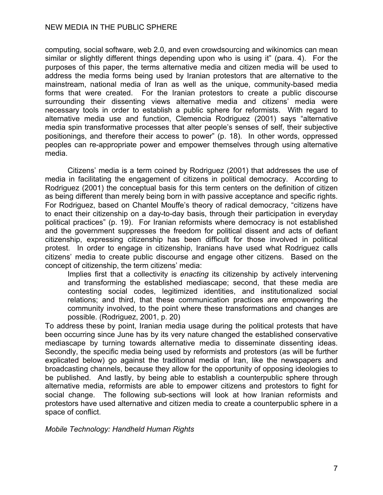computing, social software, web 2.0, and even crowdsourcing and wikinomics can mean similar or slightly different things depending upon who is using it" (para. 4). For the purposes of this paper, the terms alternative media and citizen media will be used to address the media forms being used by Iranian protestors that are alternative to the mainstream, national media of Iran as well as the unique, community-based media forms that were created. For the Iranian protestors to create a public discourse surrounding their dissenting views alternative media and citizens' media were necessary tools in order to establish a public sphere for reformists. With regard to alternative media use and function, Clemencia Rodriguez (2001) says "alternative media spin transformative processes that alter people's senses of self, their subjective positionings, and therefore their access to power" (p. 18). In other words, oppressed peoples can re-appropriate power and empower themselves through using alternative media.

Citizens' media is a term coined by Rodriguez (2001) that addresses the use of media in facilitating the engagement of citizens in political democracy. According to Rodriguez (2001) the conceptual basis for this term centers on the definition of citizen as being different than merely being born in with passive acceptance and specific rights. For Rodriguez, based on Chantel Mouffe's theory of radical democracy, "citizens have to enact their citizenship on a day-to-day basis, through their participation in everyday political practices" (p. 19). For Iranian reformists where democracy is not established and the government suppresses the freedom for political dissent and acts of defiant citizenship, expressing citizenship has been difficult for those involved in political protest. In order to engage in citizenship, Iranians have used what Rodriguez calls citizens' media to create public discourse and engage other citizens. Based on the concept of citizenship, the term citizens' media:

Implies first that a collectivity is *enacting* its citizenship by actively intervening and transforming the established mediascape; second, that these media are contesting social codes, legitimized identities, and institutionalized social relations; and third, that these communication practices are empowering the community involved, to the point where these transformations and changes are possible. (Rodriguez, 2001, p. 20)

To address these by point, Iranian media usage during the political protests that have been occurring since June has by its very nature changed the established conservative mediascape by turning towards alternative media to disseminate dissenting ideas. Secondly, the specific media being used by reformists and protestors (as will be further explicated below) go against the traditional media of Iran, like the newspapers and broadcasting channels, because they allow for the opportunity of opposing ideologies to be published. And lastly, by being able to establish a counterpublic sphere through alternative media, reformists are able to empower citizens and protestors to fight for social change. The following sub-sections will look at how Iranian reformists and protestors have used alternative and citizen media to create a counterpublic sphere in a space of conflict.

*Mobile Technology: Handheld Human Rights*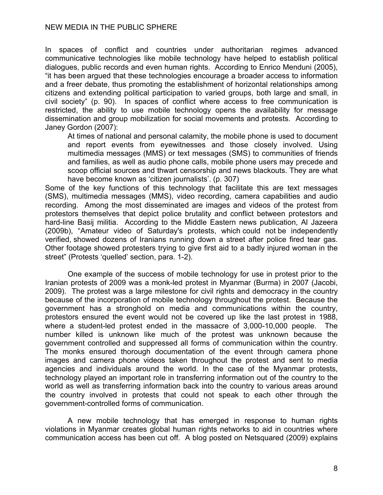In spaces of conflict and countries under authoritarian regimes advanced communicative technologies like mobile technology have helped to establish political dialogues, public records and even human rights. According to Enrico Menduni (2005), "it has been argued that these technologies encourage a broader access to information and a freer debate, thus promoting the establishment of horizontal relationships among citizens and extending political participation to varied groups, both large and small, in civil society" (p. 90). In spaces of conflict where access to free communication is restricted, the ability to use mobile technology opens the availability for message dissemination and group mobilization for social movements and protests. According to Janey Gordon (2007):

At times of national and personal calamity, the mobile phone is used to document and report events from eyewitnesses and those closely involved. Using multimedia messages (MMS) or text messages (SMS) to communities of friends and families, as well as audio phone calls, mobile phone users may precede and scoop official sources and thwart censorship and news blackouts. They are what have become known as 'citizen journalists'. (p. 307)

Some of the key functions of this technology that facilitate this are text messages (SMS), multimedia messages (MMS), video recording, camera capabilities and audio recording. Among the most disseminated are images and videos of the protest from protestors themselves that depict police brutality and conflict between protestors and hard-line Basij militia. According to the Middle Eastern news publication, Al Jazeera (2009b), "Amateur video of Saturday's protests, which could not be independently verified, showed dozens of Iranians running down a street after police fired tear gas. Other footage showed protesters trying to give first aid to a badly injured woman in the street" (Protests 'quelled' section, para. 1-2).

One example of the success of mobile technology for use in protest prior to the Iranian protests of 2009 was a monk-led protest in Myanmar (Burma) in 2007 (Jacobi, 2009). The protest was a large milestone for civil rights and democracy in the country because of the incorporation of mobile technology throughout the protest. Because the government has a stronghold on media and communications within the country, protestors ensured the event would not be covered up like the last protest in 1988, where a student-led protest ended in the massacre of 3,000-10,000 people. The number killed is unknown like much of the protest was unknown because the government controlled and suppressed all forms of communication within the country. The monks ensured thorough documentation of the event through camera phone images and camera phone videos taken throughout the protest and sent to media agencies and individuals around the world. In the case of the Myanmar protests, technology played an important role in transferring information out of the country to the world as well as transferring information back into the country to various areas around the country involved in protests that could not speak to each other through the government-controlled forms of communication.

A new mobile technology that has emerged in response to human rights violations in Myanmar creates global human rights networks to aid in countries where communication access has been cut off. A blog posted on Netsquared (2009) explains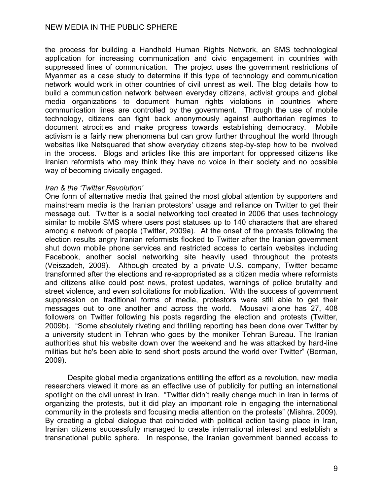the process for building a Handheld Human Rights Network, an SMS technological application for increasing communication and civic engagement in countries with suppressed lines of communication. The project uses the government restrictions of Myanmar as a case study to determine if this type of technology and communication network would work in other countries of civil unrest as well. The blog details how to build a communication network between everyday citizens, activist groups and global media organizations to document human rights violations in countries where communication lines are controlled by the government. Through the use of mobile technology, citizens can fight back anonymously against authoritarian regimes to document atrocities and make progress towards establishing democracy. Mobile activism is a fairly new phenomena but can grow further throughout the world through websites like Netsquared that show everyday citizens step-by-step how to be involved in the process. Blogs and articles like this are important for oppressed citizens like Iranian reformists who may think they have no voice in their society and no possible way of becoming civically engaged.

#### *Iran & the 'Twitter Revolution'*

One form of alternative media that gained the most global attention by supporters and mainstream media is the Iranian protestors' usage and reliance on Twitter to get their message out. Twitter is a social networking tool created in 2006 that uses technology similar to mobile SMS where users post statuses up to 140 characters that are shared among a network of people (Twitter, 2009a). At the onset of the protests following the election results angry Iranian reformists flocked to Twitter after the Iranian government shut down mobile phone services and restricted access to certain websites including Facebook, another social networking site heavily used throughout the protests (Veiszadeh, 2009). Although created by a private U.S. company, Twitter became transformed after the elections and re-appropriated as a citizen media where reformists and citizens alike could post news, protest updates, warnings of police brutality and street violence, and even solicitations for mobilization. With the success of government suppression on traditional forms of media, protestors were still able to get their messages out to one another and across the world. Mousavi alone has 27, 408 followers on Twitter following his posts regarding the election and protests (Twitter, 2009b). "Some absolutely riveting and thrilling reporting has been done over Twitter by a university student in Tehran who goes by the moniker Tehran Bureau. The Iranian authorities shut his website down over the weekend and he was attacked by hard-line militias but he's been able to send short posts around the world over Twitter" (Berman, 2009).

Despite global media organizations entitling the effort as a revolution, new media researchers viewed it more as an effective use of publicity for putting an international spotlight on the civil unrest in Iran. "Twitter didn't really change much in Iran in terms of organizing the protests, but it did play an important role in engaging the international community in the protests and focusing media attention on the protests" (Mishra, 2009). By creating a global dialogue that coincided with political action taking place in Iran, Iranian citizens successfully managed to create international interest and establish a transnational public sphere. In response, the Iranian government banned access to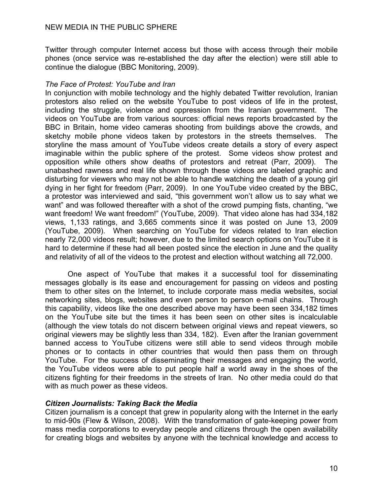Twitter through computer Internet access but those with access through their mobile phones (once service was re-established the day after the election) were still able to continue the dialogue (BBC Monitoring, 2009).

# *The Face of Protest: YouTube and Iran*

In conjunction with mobile technology and the highly debated Twitter revolution, Iranian protestors also relied on the website YouTube to post videos of life in the protest, including the struggle, violence and oppression from the Iranian government. The videos on YouTube are from various sources: official news reports broadcasted by the BBC in Britain, home video cameras shooting from buildings above the crowds, and sketchy mobile phone videos taken by protestors in the streets themselves. The storyline the mass amount of YouTube videos create details a story of every aspect imaginable within the public sphere of the protest. Some videos show protest and opposition while others show deaths of protestors and retreat (Parr, 2009). The unabashed rawness and real life shown through these videos are labeled graphic and disturbing for viewers who may not be able to handle watching the death of a young girl dying in her fight for freedom (Parr, 2009). In one YouTube video created by the BBC, a protestor was interviewed and said, "this government won't allow us to say what we want" and was followed thereafter with a shot of the crowd pumping fists, chanting, "we want freedom! We want freedom!" (YouTube, 2009). That video alone has had 334,182 views, 1,133 ratings, and 3,665 comments since it was posted on June 13, 2009 (YouTube, 2009). When searching on YouTube for videos related to Iran election nearly 72,000 videos result; however, due to the limited search options on YouTube it is hard to determine if these had all been posted since the election in June and the quality and relativity of all of the videos to the protest and election without watching all 72,000.

One aspect of YouTube that makes it a successful tool for disseminating messages globally is its ease and encouragement for passing on videos and posting them to other sites on the Internet, to include corporate mass media websites, social networking sites, blogs, websites and even person to person e-mail chains. Through this capability, videos like the one described above may have been seen 334,182 times on the YouTube site but the times it has been seen on other sites is incalculable (although the view totals do not discern between original views and repeat viewers, so original viewers may be slightly less than 334, 182). Even after the Iranian government banned access to YouTube citizens were still able to send videos through mobile phones or to contacts in other countries that would then pass them on through YouTube. For the success of disseminating their messages and engaging the world, the YouTube videos were able to put people half a world away in the shoes of the citizens fighting for their freedoms in the streets of Iran. No other media could do that with as much power as these videos.

# *Citizen Journalists: Taking Back the Media*

Citizen journalism is a concept that grew in popularity along with the Internet in the early to mid-90s (Flew & Wilson, 2008). With the transformation of gate-keeping power from mass media corporations to everyday people and citizens through the open availability for creating blogs and websites by anyone with the technical knowledge and access to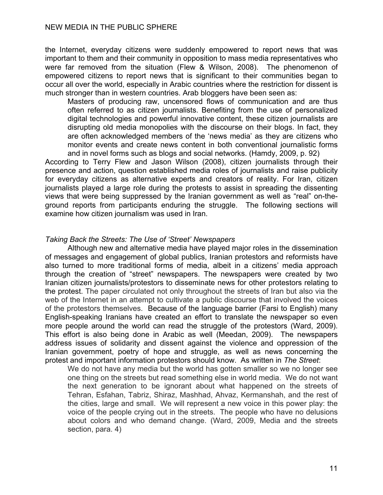the Internet, everyday citizens were suddenly empowered to report news that was important to them and their community in opposition to mass media representatives who were far removed from the situation (Flew & Wilson, 2008). The phenomenon of empowered citizens to report news that is significant to their communities began to occur all over the world, especially in Arabic countries where the restriction for dissent is much stronger than in western countries. Arab bloggers have been seen as:

Masters of producing raw, uncensored flows of communication and are thus often referred to as citizen journalists. Benefiting from the use of personalized digital technologies and powerful innovative content, these citizen journalists are disrupting old media monopolies with the discourse on their blogs. In fact, they are often acknowledged members of the 'news media' as they are citizens who monitor events and create news content in both conventional journalistic forms and in novel forms such as blogs and social networks. (Hamdy, 2009, p. 92)

According to Terry Flew and Jason Wilson (2008), citizen journalists through their presence and action, question established media roles of journalists and raise publicity for everyday citizens as alternative experts and creators of reality. For Iran, citizen journalists played a large role during the protests to assist in spreading the dissenting views that were being suppressed by the Iranian government as well as "real" on-theground reports from participants enduring the struggle. The following sections will examine how citizen journalism was used in Iran.

#### *Taking Back the Streets: The Use of 'Street' Newspapers*

Although new and alternative media have played major roles in the dissemination of messages and engagement of global publics, Iranian protestors and reformists have also turned to more traditional forms of media, albeit in a citizens' media approach through the creation of "street" newspapers. The newspapers were created by two Iranian citizen journalists/protestors to disseminate news for other protestors relating to the protest. The paper circulated not only throughout the streets of Iran but also via the web of the Internet in an attempt to cultivate a public discourse that involved the voices of the protestors themselves. Because of the language barrier (Farsi to English) many English-speaking Iranians have created an effort to translate the newspaper so even more people around the world can read the struggle of the protestors (Ward, 2009). This effort is also being done in Arabic as well (Meedan, 2009). The newspapers address issues of solidarity and dissent against the violence and oppression of the Iranian government, poetry of hope and struggle, as well as news concerning the protest and important information protestors should know. As written in *The Street*:

We do not have any media but the world has gotten smaller so we no longer see one thing on the streets but read something else in world media. We do not want the next generation to be ignorant about what happened on the streets of Tehran, Esfahan, Tabriz, Shiraz, Mashhad, Ahvaz, Kermanshah, and the rest of the cities, large and small. We will represent a new voice in this power play: the voice of the people crying out in the streets. The people who have no delusions about colors and who demand change. (Ward, 2009, Media and the streets section, para. 4)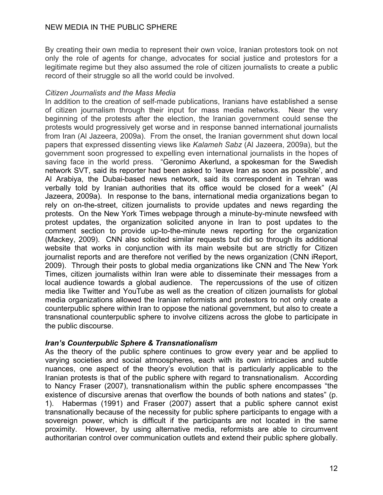By creating their own media to represent their own voice, Iranian protestors took on not only the role of agents for change, advocates for social justice and protestors for a legitimate regime but they also assumed the role of citizen journalists to create a public record of their struggle so all the world could be involved.

# *Citizen Journalists and the Mass Media*

In addition to the creation of self-made publications, Iranians have established a sense of citizen journalism through their input for mass media networks. Near the very beginning of the protests after the election, the Iranian government could sense the protests would progressively get worse and in response banned international journalists from Iran (Al Jazeera, 2009a). From the onset, the Iranian government shut down local papers that expressed dissenting views like *Kalameh Sabz* (Al Jazeera, 2009a), but the government soon progressed to expelling even international journalists in the hopes of saving face in the world press. "Geronimo Akerlund, a spokesman for the Swedish network SVT, said its reporter had been asked to 'leave Iran as soon as possible', and Al Arabiya, the Dubai-based news network, said its correspondent in Tehran was verbally told by Iranian authorities that its office would be closed for a week" (Al Jazeera, 2009a). In response to the bans, international media organizations began to rely on on-the-street, citizen journalists to provide updates and news regarding the protests. On the New York Times webpage through a minute-by-minute newsfeed with protest updates, the organization solicited anyone in Iran to post updates to the comment section to provide up-to-the-minute news reporting for the organization (Mackey, 2009). CNN also solicited similar requests but did so through its additional website that works in conjunction with its main website but are strictly for Citizen journalist reports and are therefore not verified by the news organization (CNN iReport, 2009). Through their posts to global media organizations like CNN and The New York Times, citizen journalists within Iran were able to disseminate their messages from a local audience towards a global audience. The repercussions of the use of citizen media like Twitter and YouTube as well as the creation of citizen journalists for global media organizations allowed the Iranian reformists and protestors to not only create a counterpublic sphere within Iran to oppose the national government, but also to create a transnational counterpublic sphere to involve citizens across the globe to participate in the public discourse.

# *Iran's Counterpublic Sphere & Transnationalism*

As the theory of the public sphere continues to grow every year and be applied to varying societies and social atmoospheres, each with its own intricacies and subtle nuances, one aspect of the theory's evolution that is particularly applicable to the Iranian protests is that of the public sphere with regard to transnationalism. According to Nancy Fraser (2007), transnationalism within the public sphere encompasses "the existence of discursive arenas that overflow the bounds of both nations and states" (p. 1). Habermas (1991) and Fraser (2007) assert that a public sphere cannot exist transnationally because of the necessity for public sphere participants to engage with a sovereign power, which is difficult if the participants are not located in the same proximity. However, by using alternative media, reformists are able to circumvent authoritarian control over communication outlets and extend their public sphere globally.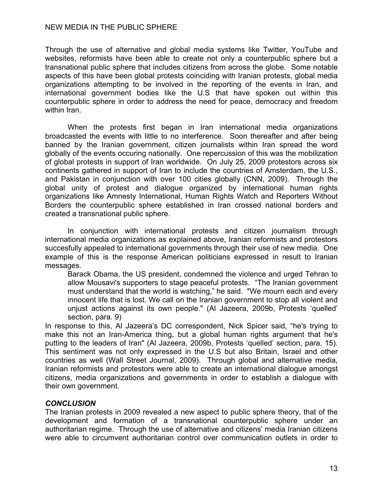Through the use of alternative and global media systems like Twitter, YouTube and websites, reformists have been able to create not only a counterpublic sphere but a transnational public sphere that includes citizens from across the globe. Some notable aspects of this have been global protests coinciding with Iranian protests, global media organizations attempting to be involved in the reporting of the events in Iran, and international government bodies like the U.S that have spoken out within this counterpublic sphere in order to address the need for peace, democracy and freedom within Iran.

When the protests first began in Iran international media organizations broadcasted the events with little to no interference. Soon thereafter and after being banned by the Iranian government, citizen journalists within Iran spread the word globally of the events occuring nationally. One repercussion of this was the mobilization of global protests in support of Iran worldwide. On July 25, 2009 protestors across six continents gathered in support of Iran to include the countries of Amsterdam, the U.S., and Pakistan in conjunction with over 100 cities globally (CNN, 2009). Through the global unity of protest and dialogue organized by international human rights organizations like Amnesty International, Human Rights Watch and Reporters Without Borders the counterpublic sphere established in Iran crossed national borders and created a transnational public sphere.

In conjunction with international protests and citizen journalism through international media organizations as explained above, Iranian reformists and protestors succesfully appealed to international governments through their use of new media. One example of this is the response American politicians expressed in result to Iranian messages.

Barack Obama, the US president, condemned the violence and urged Tehran to allow Mousavi's supporters to stage peaceful protests. "The Iranian government must understand that the world is watching," he said. "We mourn each and every innocent life that is lost. We call on the Iranian government to stop all violent and unjust actions against its own people." (Al Jazeera, 2009b, Protests 'quelled' section, para. 9)

In response to this, Al Jazeera's DC correspondent, Nick Spicer said, "he's trying to make this not an Iran-America thing, but a global human rights argument that he's putting to the leaders of Iran" (Al Jazeera, 2009b, Protests 'quelled' section, para. 15). This sentiment was not only expressed in the U.S but also Britain, Israel and other countries as well (Wall Street Journal, 2009). Through global and alternative media, Iranian reformists and protestors were able to create an international dialogue amongst citizens, media organizations and governments in order to establish a dialogue with their own government.

# *CONCLUSION*

The Iranian protests in 2009 revealed a new aspect to public sphere theory, that of the development and formation of a transnational counterpublic sphere under an authoritarian regime. Through the use of alternative and citizens' media Iranian citizens were able to circumvent authoritarian control over communication outlets in order to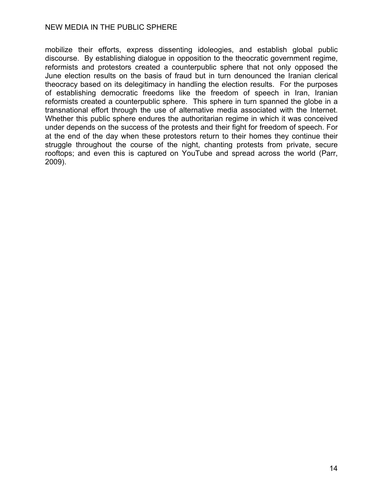mobilize their efforts, express dissenting idoleogies, and establish global public discourse. By establishing dialogue in opposition to the theocratic government regime, reformists and protestors created a counterpublic sphere that not only opposed the June election results on the basis of fraud but in turn denounced the Iranian clerical theocracy based on its delegitimacy in handling the election results. For the purposes of establishing democratic freedoms like the freedom of speech in Iran, Iranian reformists created a counterpublic sphere. This sphere in turn spanned the globe in a transnational effort through the use of alternative media associated with the Internet. Whether this public sphere endures the authoritarian regime in which it was conceived under depends on the success of the protests and their fight for freedom of speech. For at the end of the day when these protestors return to their homes they continue their struggle throughout the course of the night, chanting protests from private, secure rooftops; and even this is captured on YouTube and spread across the world (Parr, 2009).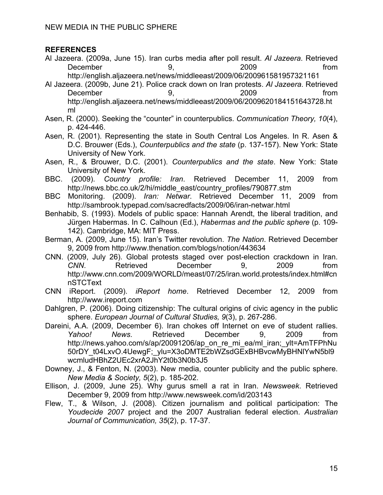# **REFERENCES**

- Al Jazeera. (2009a, June 15). Iran curbs media after poll result. *Al Jazeera*. Retrieved December 59, 2009 and trom http://english.aljazeera.net/news/middleeast/2009/06/200961581957321161
- Al Jazeera. (2009b, June 21). Police crack down on Iran protests. *Al Jazeera*. Retrieved December 9, 2009 from http://english.aljazeera.net/news/middleeast/2009/06/2009620184151643728.ht ml
- Asen, R. (2000). Seeking the "counter" in counterpublics. *Communication Theory, 10*(4), p. 424-446.
- Asen, R. (2001). Representing the state in South Central Los Angeles. In R. Asen & D.C. Brouwer (Eds.), *Counterpublics and the state* (p. 137-157). New York: State University of New York.
- Asen, R., & Brouwer, D.C. (2001). *Counterpublics and the state*. New York: State University of New York.
- BBC. (2009). *Country profile: Iran*. Retrieved December 11, 2009 from http://news.bbc.co.uk/2/hi/middle\_east/country\_profiles/790877.stm
- BBC Monitoring. (2009). *Iran: Netwar*. Retrieved December 11, 2009 from http://sambrook.typepad.com/sacredfacts/2009/06/iran-netwar.html
- Benhabib, S. (1993). Models of public space: Hannah Arendt, the liberal tradition, and Jürgen Habermas. In C. Calhoun (Ed.), *Habermas and the public sphere* (p. 109- 142). Cambridge, MA: MIT Press.
- Berman, A. (2009, June 15). Iran's Twitter revolution. *The Nation*. Retrieved December 9, 2009 from http://www.thenation.com/blogs/notion/443634
- CNN. (2009, July 26). Global protests staged over post-election crackdown in Iran. *CNN*. Retrieved December 9, 2009 from http://www.cnn.com/2009/WORLD/meast/07/25/iran.world.protests/index.html#cn nSTCText
- CNN iReport. (2009). *iReport home*. Retrieved December 12, 2009 from http://www.ireport.com
- Dahlgren, P. (2006). Doing citizenship: The cultural origins of civic agency in the public sphere. *European Journal of Cultural Studies, 9*(3), p. 267-286.
- Dareini, A.A. (2009, December 6). Iran chokes off Internet on eve of student rallies. *Yahoo! News*. Retrieved December 9, 2009 from http://news.yahoo.com/s/ap/20091206/ap\_on\_re\_mi\_ea/ml\_iran;\_ylt=AmTFPhNu 50rDY\_t04LxvO.4UewgF;\_ylu=X3oDMTE2bWZsdGExBHBvcwMyBHNlYwN5bl9 wcmludHBhZ2UEc2xrA2JhY2t0b3N0b3J5
- Downey, J., & Fenton, N. (2003). New media, counter publicity and the public sphere. *New Media & Society, 5*(2), p. 185-202.
- Ellison, J. (2009, June 25). Why gurus smell a rat in Iran. *Newsweek*. Retrieved December 9, 2009 from http://www.newsweek.com/id/203143
- Flew, T., & Wilson, J. (2008). Citizen journalism and political participation: The *Youdecide 2007* project and the 2007 Australian federal election. *Australian Journal of Communication, 35*(2), p. 17-37.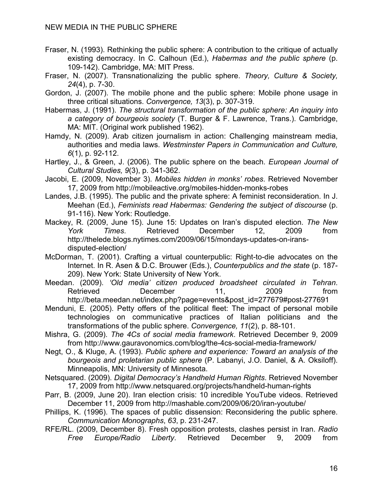- Fraser, N. (1993). Rethinking the public sphere: A contribution to the critique of actually existing democracy. In C. Calhoun (Ed.), *Habermas and the public sphere* (p. 109-142). Cambridge, MA: MIT Press.
- Fraser, N. (2007). Transnationalizing the public sphere. *Theory, Culture & Society, 24*(4), p. 7-30.
- Gordon, J. (2007). The mobile phone and the public sphere: Mobile phone usage in three critical situations. *Convergence, 13*(3), p. 307-319.
- Habermas, J. (1991). *The structural transformation of the public sphere: An inquiry into a category of bourgeois society* (T. Burger & F. Lawrence, Trans.). Cambridge, MA: MIT. (Original work published 1962).
- Hamdy, N. (2009). Arab citizen journalism in action: Challenging mainstream media, authorities and media laws. *Westminster Papers in Communication and Culture, 6*(1), p. 92-112.
- Hartley, J., & Green, J. (2006). The public sphere on the beach. *European Journal of Cultural Studies, 9*(3), p. 341-362.
- Jacobi, E. (2009, November 3). *Mobiles hidden in monks' robes*. Retrieved November 17, 2009 from http://mobileactive.org/mobiles-hidden-monks-robes
- Landes, J.B. (1995). The public and the private sphere: A feminist reconsideration. In J. Meehan (Ed.), *Feminists read Habermas: Gendering the subject of discourse* (p. 91-116). New York: Routledge.
- Mackey, R. (2009, June 15). June 15: Updates on Iran's disputed election. *The New York Times*. Retrieved December 12, 2009 from http://thelede.blogs.nytimes.com/2009/06/15/mondays-updates-on-iransdisputed-election/
- McDorman, T. (2001). Crafting a virtual counterpublic: Right-to-die advocates on the Internet. In R. Asen & D.C. Brouwer (Eds.), *Counterpublics and the state* (p. 187- 209). New York: State University of New York.
- Meedan. (2009). *'Old media' citizen produced broadsheet circulated in Tehran*. Retrieved December 11, 2009 from http://beta.meedan.net/index.php?page=events&post\_id=277679#post-277691
- Menduni, E. (2005). Petty offers of the political fleet: The impact of personal mobile technologies on communicative practices of Italian politicians and the transformations of the public sphere. *Convergence, 11*(2), p. 88-101.
- Mishra, G. (2009). *The 4Cs of social media framework*. Retrieved December 9, 2009 from http://www.gauravonomics.com/blog/the-4cs-social-media-framework/
- Negt, O., & Kluge, A. (1993). *Public sphere and experience: Toward an analysis of the bourgeois and proletarian public sphere* (P. Labanyi, J.O. Daniel, & A. Oksiloff). Minneapolis, MN: University of Minnesota.
- Netsquared. (2009). *Digital Democracy's Handheld Human Rights*. Retrieved November 17, 2009 from http://www.netsquared.org/projects/handheld-human-rights
- Parr, B. (2009, June 20). Iran election crisis: 10 incredible YouTube videos. Retrieved December 11, 2009 from http://mashable.com/2009/06/20/iran-youtube/
- Phillips, K. (1996). The spaces of public dissension: Reconsidering the public sphere. *Communication Monographs*, *63*, p. 231-247.
- RFE/RL. (2009, December 8). Fresh opposition protests, clashes persist in Iran. *Radio Free Europe/Radio Liberty*. Retrieved December 9, 2009 from